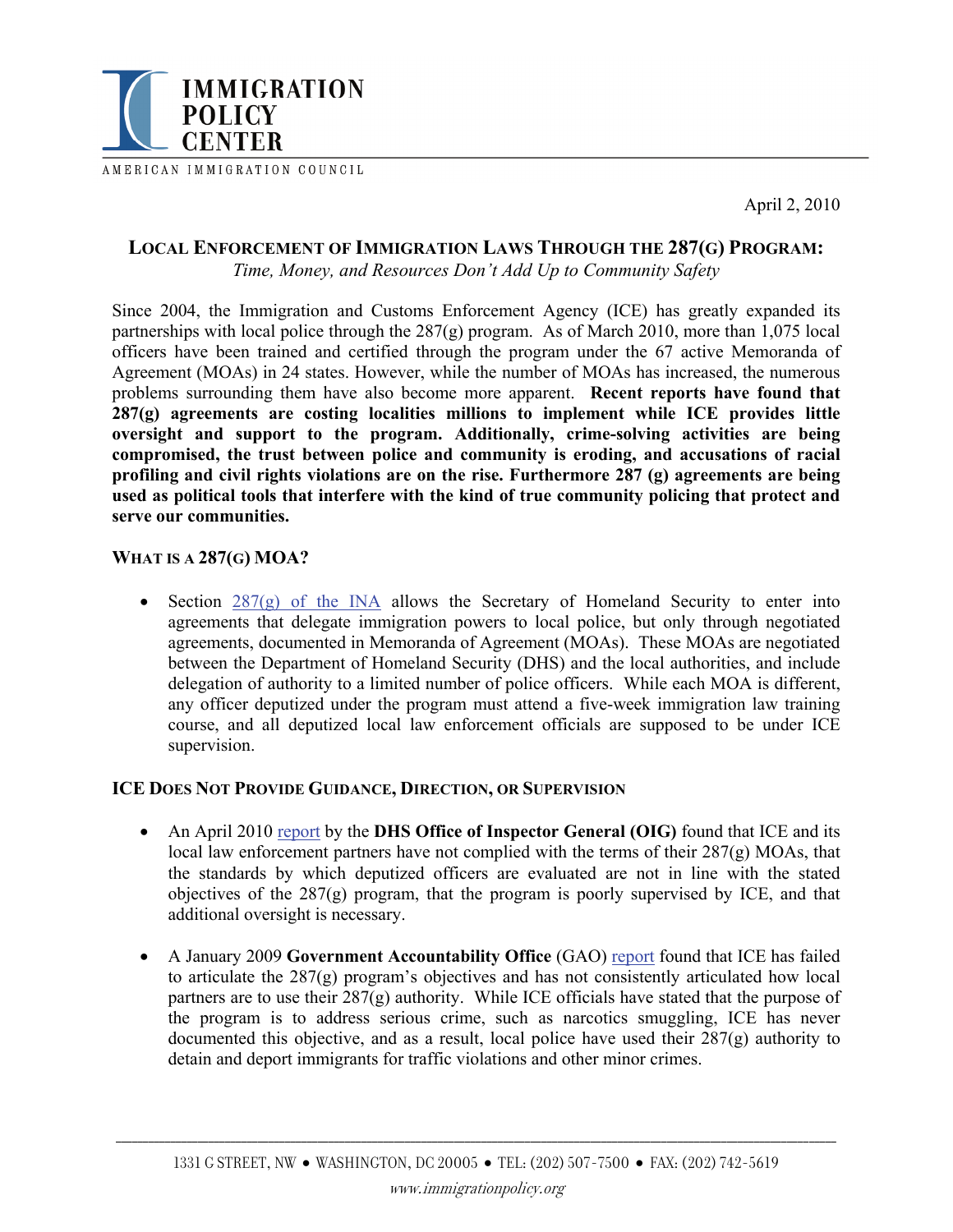

AMERICAN IMMIGRATION COUNCIL

April 2, 2010

## **LOCAL ENFORCEMENT OF IMMIGRATION LAWS THROUGH THE 287(G) PROGRAM:**

*Time, Money, and Resources Don't Add Up to Community Safety* 

Since 2004, the Immigration and Customs Enforcement Agency (ICE) has greatly expanded its partnerships with local police through the 287(g) program. As of March 2010, more than 1,075 local officers have been trained and certified through the program under the 67 active Memoranda of Agreement (MOAs) in 24 states. However, while the number of MOAs has increased, the numerous problems surrounding them have also become more apparent. **Recent reports have found that 287(g) agreements are costing localities millions to implement while ICE provides little oversight and support to the program. Additionally, crime-solving activities are being compromised, the trust between police and community is eroding, and accusations of racial profiling and civil rights violations are on the rise. Furthermore 287 (g) agreements are being used as political tools that interfere with the kind of true community policing that protect and serve our communities.** 

#### **WHAT IS A 287(G) MOA?**

• Section  $287(g)$  of the INA allows the Secretary of Homeland Security to enter into agreements that delegate immigration powers to local police, but only through negotiated agreements, documented in Memoranda of Agreement (MOAs). These MOAs are negotiated between the Department of Homeland Security (DHS) and the local authorities, and include delegation of authority to a limited number of police officers. While each MOA is different, any officer deputized under the program must attend a five-week immigration law training course, and all deputized local law enforcement officials are supposed to be under ICE supervision.

#### **ICE DOES NOT PROVIDE GUIDANCE, DIRECTION, OR SUPERVISION**

- An April 2010 [report](http://www.dhs.gov/xoig/assets/mgmtrpts/OIG_10-63_Mar10.pdf) by the **DHS Office of Inspector General (OIG)** found that ICE and its local law enforcement partners have not complied with the terms of their 287(g) MOAs, that the standards by which deputized officers are evaluated are not in line with the stated objectives of the 287(g) program, that the program is poorly supervised by ICE, and that additional oversight is necessary.
- A January 2009 **Government Accountability Office** (GAO) [report](http://www.gao.gov/new.items/d09109.pdf) found that ICE has failed to articulate the 287(g) program's objectives and has not consistently articulated how local partners are to use their 287(g) authority. While ICE officials have stated that the purpose of the program is to address serious crime, such as narcotics smuggling, ICE has never documented this objective, and as a result, local police have used their 287(g) authority to detain and deport immigrants for traffic violations and other minor crimes.

\_\_\_\_\_\_\_\_\_\_\_\_\_\_\_\_\_\_\_\_\_\_\_\_\_\_\_\_\_\_\_\_\_\_\_\_\_\_\_\_\_\_\_\_\_\_\_\_\_\_\_\_\_\_\_\_\_\_\_\_\_\_\_\_\_\_\_\_\_\_\_\_\_\_\_\_\_\_\_\_\_\_\_\_\_\_\_\_\_\_\_\_\_\_\_\_\_\_\_\_\_\_\_\_\_\_\_\_\_\_\_\_\_\_\_\_\_\_\_\_\_\_\_\_\_\_\_\_\_\_\_\_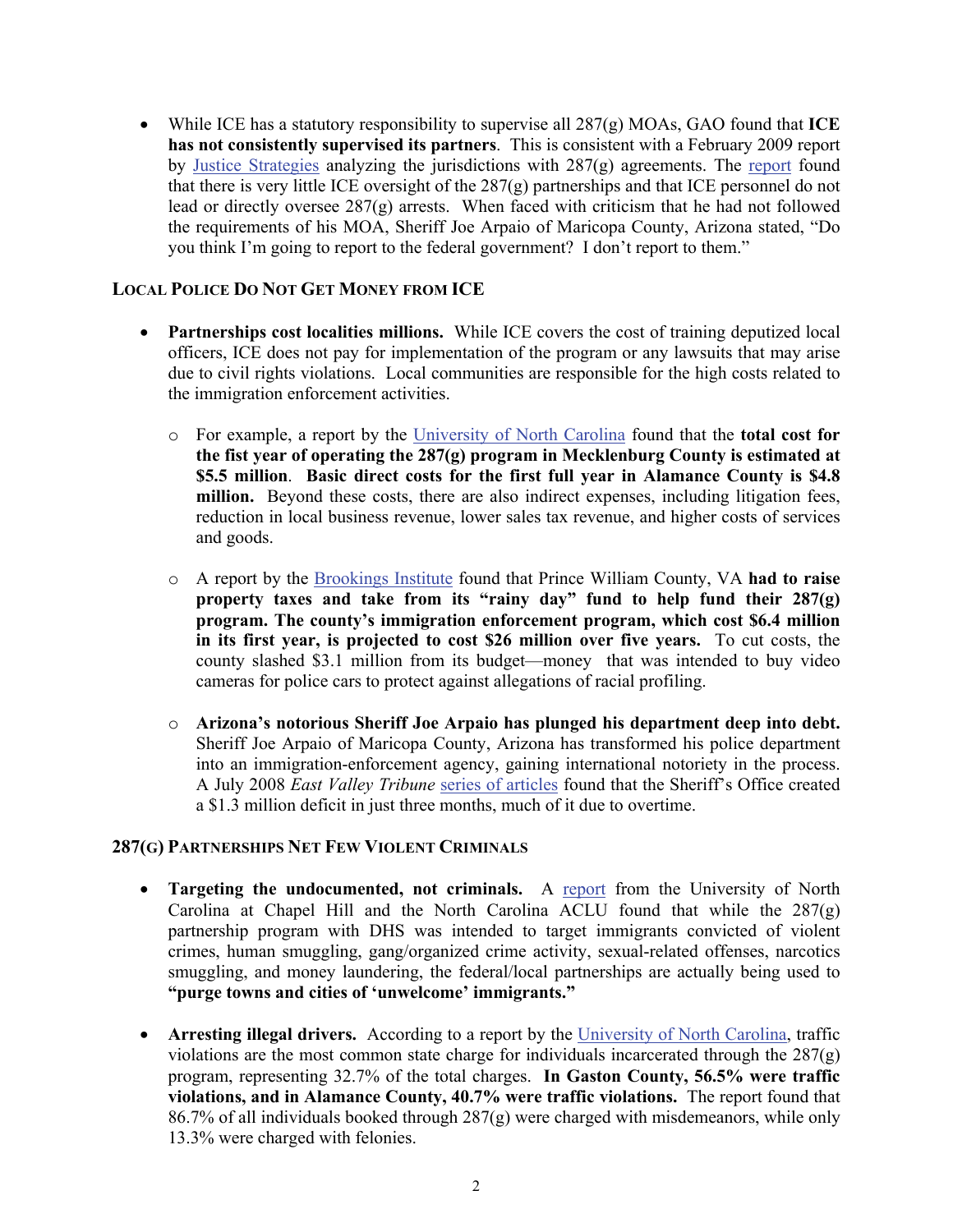• While ICE has a statutory responsibility to supervise all 287(g) MOAs, GAO found that **ICE has not consistently supervised its partners**. This is consistent with a February 2009 report by [Justice Strategies](http://www.justicestrategies.org/2009/local-democracy-ice-why-state-and-local-governments-have-no-business-federal-immigration-law-en) analyzing the jurisdictions with 287(g) agreements. The [report](http://www.justicestrategies.org/sites/default/files/JS-Democracy-On-Ice.pdf) found that there is very little ICE oversight of the 287(g) partnerships and that ICE personnel do not lead or directly oversee 287(g) arrests. When faced with criticism that he had not followed the requirements of his MOA, Sheriff Joe Arpaio of Maricopa County, Arizona stated, "Do you think I'm going to report to the federal government? I don't report to them."

## **LOCAL POLICE DO NOT GET MONEY FROM ICE**

- **Partnerships cost localities millions.** While ICE covers the cost of training deputized local officers, ICE does not pay for implementation of the program or any lawsuits that may arise due to civil rights violations. Local communities are responsible for the high costs related to the immigration enforcement activities.
	- o For example, a report by the [University of North Carolina](http://isa.unc.edu/migration/287g_report_final.pdf) found that the **total cost for the fist year of operating the 287(g) program in Mecklenburg County is estimated at \$5.5 million**. **Basic direct costs for the first full year in Alamance County is \$4.8 million.** Beyond these costs, there are also indirect expenses, including litigation fees, reduction in local business revenue, lower sales tax revenue, and higher costs of services and goods.
	- o A report by the [Brookings Institute](http://www.brookings.edu/events/2009/0226_immigration.aspx) found that Prince William County, VA **had to raise property taxes and take from its "rainy day" fund to help fund their 287(g) program. The county's immigration enforcement program, which cost \$6.4 million in its first year, is projected to cost \$26 million over five years.** To cut costs, the county slashed \$3.1 million from its budget—money that was intended to buy video cameras for police cars to protect against allegations of racial profiling.
	- o **Arizona's notorious Sheriff Joe Arpaio has plunged his department deep into debt.**  Sheriff Joe Arpaio of Maricopa County, Arizona has transformed his police department into an immigration-enforcement agency, gaining international notoriety in the process. A July 2008 *East Valley Tribune* [series of articles](http://www.eastvalleytribune.com/page/reasonable_doubt) found that the Sheriff's Office created a \$1.3 million deficit in just three months, much of it due to overtime.

## **287(G) PARTNERSHIPS NET FEW VIOLENT CRIMINALS**

- **Targeting the undocumented, not criminals.** A [report](http://acluofnc.org/?q=new-study-finds-dramatic-problems-287g-immigration-program) from the University of North Carolina at Chapel Hill and the North Carolina ACLU found that while the 287(g) partnership program with DHS was intended to target immigrants convicted of violent crimes, human smuggling, gang/organized crime activity, sexual-related offenses, narcotics smuggling, and money laundering, the federal/local partnerships are actually being used to **"purge towns and cities of 'unwelcome' immigrants."**
- **Arresting illegal drivers.** According to a report by the [University of North Carolina,](http://isa.unc.edu/migration/287g_report_final.pdf) traffic violations are the most common state charge for individuals incarcerated through the 287(g) program, representing 32.7% of the total charges. **In Gaston County, 56.5% were traffic violations, and in Alamance County, 40.7% were traffic violations.** The report found that 86.7% of all individuals booked through 287(g) were charged with misdemeanors, while only 13.3% were charged with felonies.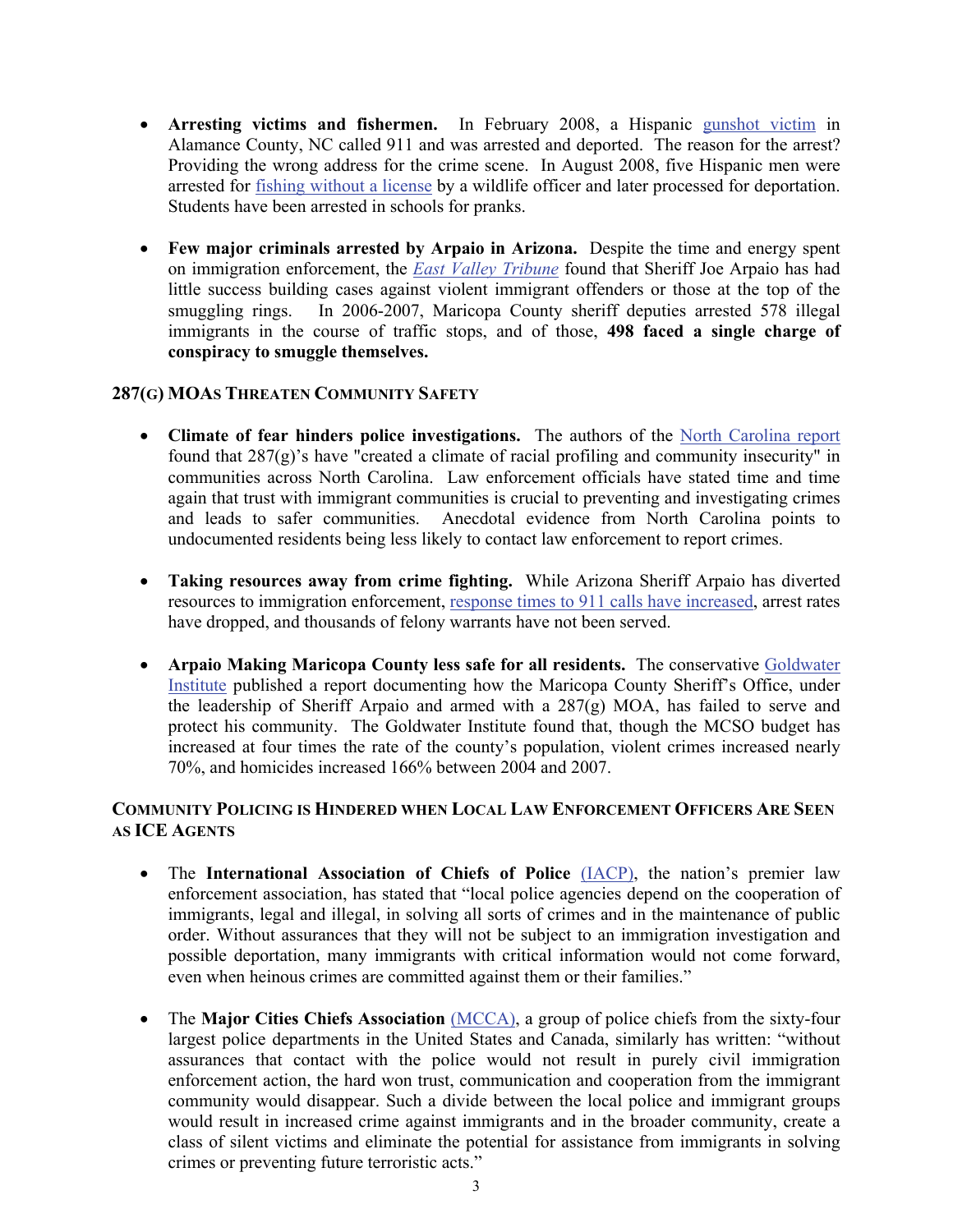- **Arresting victims and fishermen.** In February 2008, a Hispanic [gunshot victim](http://www.thetimesnews.com/news/martinez-10498-jones-shooting.html) in Alamance County, NC called 911 and was arrested and deported. The reason for the arrest? Providing the wrong address for the crime scene. In August 2008, five Hispanic men were arrested for [fishing without a license](http://isa.unc.edu/migration/287g_report_final.pdf) by a wildlife officer and later processed for deportation. Students have been arrested in schools for pranks.
- **Few major criminals arrested by Arpaio in Arizona.** Despite the time and energy spent on immigration enforcement, the *[East Valley](http://www.eastvalleytribune.com/page/reasonable_doubt) Tribune* found that Sheriff Joe Arpaio has had little success building cases against violent immigrant offenders or those at the top of the smuggling rings. In 2006-2007, Maricopa County sheriff deputies arrested 578 illegal immigrants in the course of traffic stops, and of those, **498 faced a single charge of conspiracy to smuggle themselves.**

## **287(G) MOAS THREATEN COMMUNITY SAFETY**

- **Climate of fear hinders police investigations.** The authors of the [North Carolina report](http://acluofnc.org/?q=new-study-finds-dramatic-problems-287g-immigration-program) found that  $287(g)$ 's have "created a climate of racial profiling and community insecurity" in communities across North Carolina. Law enforcement officials have stated time and time again that trust with immigrant communities is crucial to preventing and investigating crimes and leads to safer communities. Anecdotal evidence from North Carolina points to undocumented residents being less likely to contact law enforcement to report crimes.
- **Taking resources away from crime fighting.** While Arizona Sheriff Arpaio has diverted resources to immigration enforcement, [response times to 911 calls have increased](http://www.eastvalleytribune.com/page/reasonable_doubt), arrest rates have dropped, and thousands of felony warrants have not been served.
- **Arpaio Making Maricopa County less safe for all residents.** The conservative [Goldwater](http://www.goldwaterinstitute.org/Common/Img/Mission%20Unaccomplished.pdf)  [Institute](http://www.goldwaterinstitute.org/Common/Img/Mission%20Unaccomplished.pdf) published a report documenting how the Maricopa County Sheriff's Office, under the leadership of Sheriff Arpaio and armed with a 287(g) MOA, has failed to serve and protect his community. The Goldwater Institute found that, though the MCSO budget has increased at four times the rate of the county's population, violent crimes increased nearly 70%, and homicides increased 166% between 2004 and 2007.

# **COMMUNITY POLICING IS HINDERED WHEN LOCAL LAW ENFORCEMENT OFFICERS ARE SEEN AS ICE AGENTS**

- The **International Association of Chiefs of Police** [\(IACP\)](http://www.theiacp.org/About/PressCenter/tabid/81/Default.aspx?id=867&v=1), the nation's premier law enforcement association, has stated that "local police agencies depend on the cooperation of immigrants, legal and illegal, in solving all sorts of crimes and in the maintenance of public order. Without assurances that they will not be subject to an immigration investigation and possible deportation, many immigrants with critical information would not come forward, even when heinous crimes are committed against them or their families."
- The **Major Cities Chiefs Association** [\(MCCA\)](http://www.majorcitieschiefs.org/index.shtml), a group of police chiefs from the sixty-four largest police departments in the United States and Canada, similarly has written: "without assurances that contact with the police would not result in purely civil immigration enforcement action, the hard won trust, communication and cooperation from the immigrant community would disappear. Such a divide between the local police and immigrant groups would result in increased crime against immigrants and in the broader community, create a class of silent victims and eliminate the potential for assistance from immigrants in solving crimes or preventing future terroristic acts."